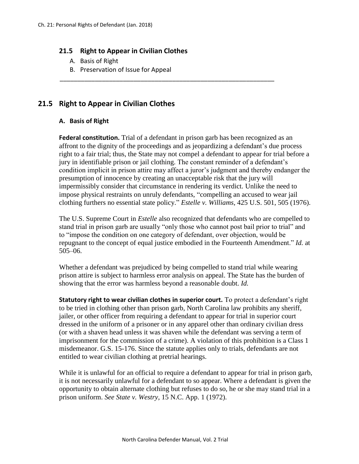## **21.5 Right to Appear in Civilian Clothes**

- A. Basis of Right
- B. Preservation of Issue for Appeal

## **21.5 Right to Appear in Civilian Clothes**

## **A. Basis of Right**

**Federal constitution.** Trial of a defendant in prison garb has been recognized as an affront to the dignity of the proceedings and as jeopardizing a defendant's due process right to a fair trial; thus, the State may not compel a defendant to appear for trial before a jury in identifiable prison or jail clothing. The constant reminder of a defendant's condition implicit in prison attire may affect a juror's judgment and thereby endanger the presumption of innocence by creating an unacceptable risk that the jury will impermissibly consider that circumstance in rendering its verdict. Unlike the need to impose physical restraints on unruly defendants, "compelling an accused to wear jail clothing furthers no essential state policy." *Estelle v. Williams*, 425 U.S. 501, 505 (1976).

\_\_\_\_\_\_\_\_\_\_\_\_\_\_\_\_\_\_\_\_\_\_\_\_\_\_\_\_\_\_\_\_\_\_\_\_\_\_\_\_\_\_\_\_\_\_\_\_\_\_\_\_\_\_\_\_\_\_\_\_\_

The U.S. Supreme Court in *Estelle* also recognized that defendants who are compelled to stand trial in prison garb are usually "only those who cannot post bail prior to trial" and to "impose the condition on one category of defendant, over objection, would be repugnant to the concept of equal justice embodied in the Fourteenth Amendment." *Id.* at 505–06.

Whether a defendant was prejudiced by being compelled to stand trial while wearing prison attire is subject to harmless error analysis on appeal. The State has the burden of showing that the error was harmless beyond a reasonable doubt. *Id.*

**Statutory right to wear civilian clothes in superior court.** To protect a defendant's right to be tried in clothing other than prison garb, North Carolina law prohibits any sheriff, jailer, or other officer from requiring a defendant to appear for trial in superior court dressed in the uniform of a prisoner or in any apparel other than ordinary civilian dress (or with a shaven head unless it was shaven while the defendant was serving a term of imprisonment for the commission of a crime). A violation of this prohibition is a Class 1 misdemeanor. G.S. 15-176. Since the statute applies only to trials, defendants are not entitled to wear civilian clothing at pretrial hearings.

While it is unlawful for an official to require a defendant to appear for trial in prison garb, it is not necessarily unlawful for a defendant to so appear. Where a defendant is given the opportunity to obtain alternate clothing but refuses to do so, he or she may stand trial in a prison uniform. *See State v. Westry*, 15 N.C. App. 1 (1972).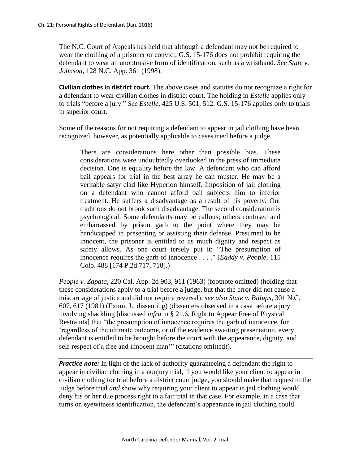The N.C. Court of Appeals has held that although a defendant may not be required to wear the clothing of a prisoner or convict, G.S. 15-176 does not prohibit requiring the defendant to wear an unobtrusive form of identification, such as a wristband. *See State v. Johnson*, 128 N.C. App. 361 (1998).

**Civilian clothes in district court.** The above cases and statutes do not recognize a right for a defendant to wear civilian clothes in district court. The holding in *Estelle* applies only to trials "before a jury." *See Estelle*, 425 U.S. 501, 512. G.S. 15-176 applies only to trials in superior court.

Some of the reasons for not requiring a defendant to appear in jail clothing have been recognized, however, as potentially applicable to cases tried before a judge.

There are considerations here other than possible bias. These considerations were undoubtedly overlooked in the press of immediate decision. One is equality before the law. A defendant who can afford bail appears for trial in the best array he can muster. He may be a veritable satyr clad like Hyperion himself. Imposition of jail clothing on a defendant who cannot afford bail subjects him to inferior treatment. He suffers a disadvantage as a result of his poverty. Our traditions do not brook such disadvantage. The second consideration is psychological. Some defendants may be callous; others confused and embarrassed by prison garb to the point where they may be handicapped in presenting or assisting their defense. Presumed to be innocent, the prisoner is entitled to as much dignity and respect as safety allows. As one court tersely put it: "The presumption of innocence requires the garb of innocence . . . ." (*Eaddy v. People*, 115 Colo. 488 [174 P.2d 717, 718].)

*People v. Zapata*, 220 Cal. App. 2d 903, 911 (1963) (footnote omitted) (holding that these considerations apply to a trial before a judge, but that the error did not cause a miscarriage of justice and did not require reversal); *see also State v. Billups*, 301 N.C. 607, 617 (1981) (Exum, J., dissenting) (dissenters observed in a case before a jury involving shackling [discussed *infra* in § 21.6, Right to Appear Free of Physical Restraints] that "the presumption of innocence requires the garb of innocence, for 'regardless of the ultimate outcome, or of the evidence awaiting presentation, every defendant is entitled to be brought before the court with the appearance, dignity, and self-respect of a free and innocent man'" (citations omitted)).

**Practice note:** In light of the lack of authority guaranteeing a defendant the right to appear in civilian clothing in a nonjury trial, if you would like your client to appear in civilian clothing for trial before a district court judge, you should make that request to the judge before trial *and* show why requiring your client to appear in jail clothing would deny his or her due process right to a fair trial in that case. For example, in a case that turns on eyewitness identification, the defendant's appearance in jail clothing could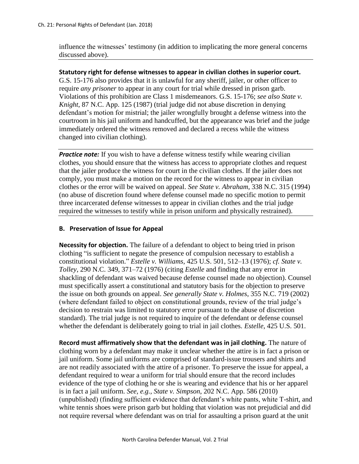influence the witnesses' testimony (in addition to implicating the more general concerns discussed above).

**Statutory right for defense witnesses to appear in civilian clothes in superior court.**

G.S. 15-176 also provides that it is unlawful for any sheriff, jailer, or other officer to require *any prisoner* to appear in any court for trial while dressed in prison garb. Violations of this prohibition are Class 1 misdemeanors. G.S. 15-176; *see also State v. Knight*, 87 N.C. App. 125 (1987) (trial judge did not abuse discretion in denying defendant's motion for mistrial; the jailer wrongfully brought a defense witness into the courtroom in his jail uniform and handcuffed, but the appearance was brief and the judge immediately ordered the witness removed and declared a recess while the witness changed into civilian clothing).

*Practice note:* If you wish to have a defense witness testify while wearing civilian clothes, you should ensure that the witness has access to appropriate clothes and request that the jailer produce the witness for court in the civilian clothes. If the jailer does not comply, you must make a motion on the record for the witness to appear in civilian clothes or the error will be waived on appeal. *See State v. Abraham*, 338 N.C. 315 (1994) (no abuse of discretion found where defense counsel made no specific motion to permit three incarcerated defense witnesses to appear in civilian clothes and the trial judge required the witnesses to testify while in prison uniform and physically restrained).

## **B. Preservation of Issue for Appeal**

**Necessity for objection.** The failure of a defendant to object to being tried in prison clothing "is sufficient to negate the presence of compulsion necessary to establish a constitutional violation." *Estelle v. Williams*, 425 U.S. 501, 512–13 (1976); *cf. State v. Tolley*, 290 N.C. 349, 371–72 (1976) (citing *Estelle* and finding that any error in shackling of defendant was waived because defense counsel made no objection). Counsel must specifically assert a constitutional and statutory basis for the objection to preserve the issue on both grounds on appeal. *See generally State v. Holmes*, 355 N.C. 719 (2002) (where defendant failed to object on constitutional grounds, review of the trial judge's decision to restrain was limited to statutory error pursuant to the abuse of discretion standard). The trial judge is not required to inquire of the defendant or defense counsel whether the defendant is deliberately going to trial in jail clothes. *Estelle*, 425 U.S. 501.

**Record must affirmatively show that the defendant was in jail clothing.** The nature of clothing worn by a defendant may make it unclear whether the attire is in fact a prison or jail uniform. Some jail uniforms are comprised of standard-issue trousers and shirts and are not readily associated with the attire of a prisoner. To preserve the issue for appeal, a defendant required to wear a uniform for trial should ensure that the record includes evidence of the type of clothing he or she is wearing and evidence that his or her apparel is in fact a jail uniform. *See, e.g., State v. Simpson*, 202 N.C. App. 586 (2010) (unpublished) (finding sufficient evidence that defendant's white pants, white T-shirt, and white tennis shoes were prison garb but holding that violation was not prejudicial and did not require reversal where defendant was on trial for assaulting a prison guard at the unit